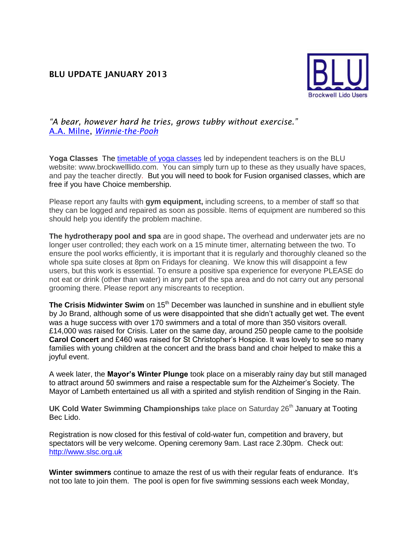## **BLU UPDATE JANUARY 2013**



*"A bear, however hard he tries, grows tubby without exercise."* [A.A. Milne,](http://www.goodreads.com/author/show/81466.A_A_Milne) *[Winnie-the-Pooh](http://www.goodreads.com/work/quotes/1225592)*

**Yoga Classes** The [timetable of yoga classes](http://www.porism.net/blu/images/YogaTimetable201210.jpg) led by independent teachers is on the BLU website: www.brockwelllido.com. You can simply turn up to these as they usually have spaces, and pay the teacher directly. But you will need to book for Fusion organised classes, which are free if you have Choice membership.

Please report any faults with **gym equipment,** including screens, to a member of staff so that they can be logged and repaired as soon as possible. Items of equipment are numbered so this should help you identify the problem machine.

**The hydrotherapy pool and spa** are in good shape**.** The overhead and underwater jets are no longer user controlled; they each work on a 15 minute timer, alternating between the two. To ensure the pool works efficiently, it is important that it is regularly and thoroughly cleaned so the whole spa suite closes at 8pm on Fridays for cleaning. We know this will disappoint a few users, but this work is essential. To ensure a positive spa experience for everyone PLEASE do not eat or drink (other than water) in any part of the spa area and do not carry out any personal grooming there. Please report any miscreants to reception.

**The Crisis Midwinter Swim** on 15<sup>th</sup> December was launched in sunshine and in ebullient style by Jo Brand, although some of us were disappointed that she didn't actually get wet. The event was a huge success with over 170 swimmers and a total of more than 350 visitors overall. £14,000 was raised for Crisis. Later on the same day, around 250 people came to the poolside **Carol Concert** and £460 was raised for St Christopher's Hospice. It was lovely to see so many families with young children at the concert and the brass band and choir helped to make this a joyful event.

A week later, the **Mayor's Winter Plunge** took place on a miserably rainy day but still managed to attract around 50 swimmers and raise a respectable sum for the Alzheimer's Society. The Mayor of Lambeth entertained us all with a spirited and stylish rendition of Singing in the Rain.

**UK Cold Water Swimming Championships** take place on Saturday 26<sup>th</sup> January at Tooting Bec Lido.

Registration is now closed for this festival of cold-water fun, competition and bravery, but spectators will be very welcome. Opening ceremony 9am. Last race 2.30pm. Check out: [http://www.slsc.org.uk](http://www.slsc.org.uk/)

**Winter swimmers** continue to amaze the rest of us with their regular feats of endurance. It's not too late to join them. The pool is open for five swimming sessions each week Monday,